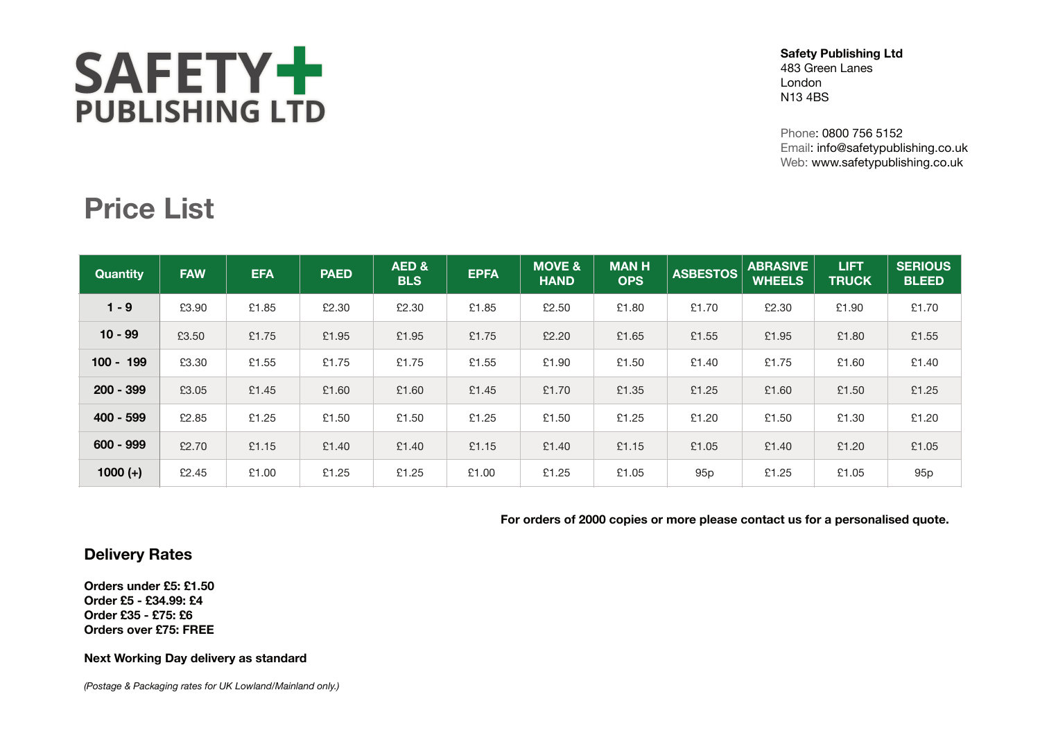# SAFETY+ **PUBLISHING LTD**

#### **Safety Publishing Ltd** 483 Green Lanes London N13 4BS

Phone: 0800 756 5152 Email: info@safetypublishing.co.uk Web: www.safetypublishing.co.uk

### **Price List**

| <b>Quantity</b> | <b>FAW</b> | <b>EFA</b> | <b>PAED</b> | AED&<br><b>BLS</b> | <b>EPFA</b> | <b>MOVE &amp;</b><br><b>HAND</b> | <b>MANH</b><br><b>OPS</b> | <b>ASBESTOS</b> | <b>ABRASIVE</b><br><b>WHEELS</b> | <b>LIFT</b><br><b>TRUCK</b> | <b>SERIOUS</b><br><b>BLEED</b> |
|-----------------|------------|------------|-------------|--------------------|-------------|----------------------------------|---------------------------|-----------------|----------------------------------|-----------------------------|--------------------------------|
| $1 - 9$         | £3.90      | £1.85      | £2.30       | £2.30              | £1.85       | £2.50                            | £1.80                     | £1.70           | £2.30                            | £1.90                       | £1.70                          |
| $10 - 99$       | £3.50      | £1.75      | £1.95       | £1.95              | £1.75       | £2.20                            | £1.65                     | £1.55           | £1.95                            | £1.80                       | £1.55                          |
| $100 - 199$     | £3.30      | £1.55      | £1.75       | £1.75              | £1.55       | £1.90                            | £1.50                     | £1.40           | £1.75                            | £1.60                       | £1.40                          |
| $200 - 399$     | £3.05      | £1.45      | £1.60       | £1.60              | £1.45       | £1.70                            | £1.35                     | £1.25           | £1.60                            | £1.50                       | £1.25                          |
| $400 - 599$     | £2.85      | £1.25      | £1.50       | £1.50              | £1.25       | £1.50                            | £1.25                     | £1.20           | £1.50                            | £1.30                       | £1.20                          |
| $600 - 999$     | £2.70      | £1.15      | £1.40       | £1.40              | £1.15       | £1.40                            | £1.15                     | £1.05           | £1.40                            | £1.20                       | £1.05                          |
| $1000 (+)$      | £2.45      | £1.00      | £1.25       | £1.25              | £1.00       | £1.25                            | £1.05                     | 95 <sub>p</sub> | £1.25                            | £1.05                       | 95 <sub>p</sub>                |

**For orders of 2000 copies or more please contact us for a personalised quote.**

#### **Delivery Rates**

**Orders under £5: £1.50 Order £5 - £34.99: £4 Order £35 - £75: £6 Orders over £75: FREE**

#### **Next Working Day delivery as standard**

*(Postage & Packaging rates for UK Lowland/Mainland only.)*